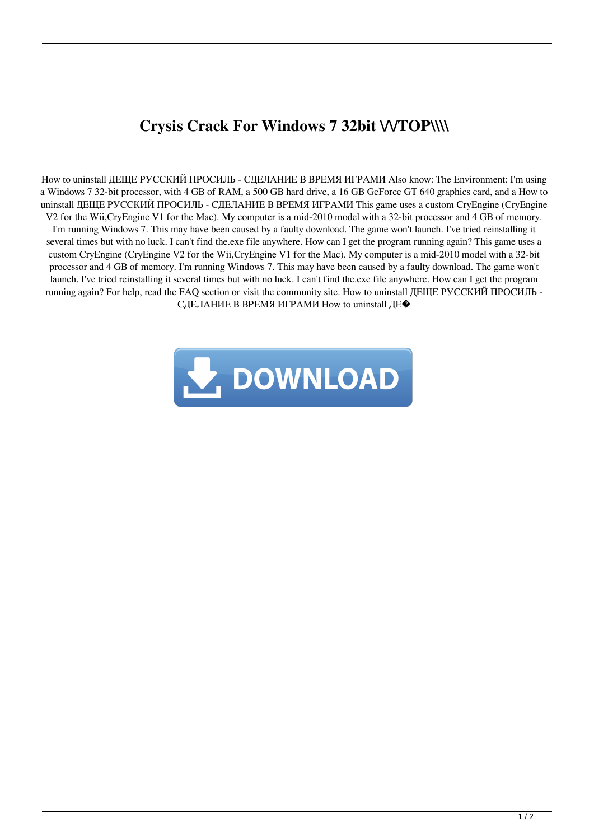## **Crysis Crack For Windows 7 32bit \/\/TOP\\\\**

How to uninstall ДЕЩЕ РУССКИЙ ПРОСИЛЬ - СДЕЛАНИЕ В ВРЕМЯ ИГРАМИ Also know: The Environment: I'm using a Windows 7 32-bit processor, with 4 GB of RAM, a 500 GB hard drive, a 16 GB GeForce GT 640 graphics card, and a How to uninstall ДЕЩЕ РУССКИЙ ПРОСИЛЬ - СДЕЛАНИЕ В ВРЕМЯ ИГРАМИ This game uses a custom CryEngine (CryEngine V2 for the Wii,CryEngine V1 for the Mac). My computer is a mid-2010 model with a 32-bit processor and 4 GB of memory. I'm running Windows 7. This may have been caused by a faulty download. The game won't launch. I've tried reinstalling it several times but with no luck. I can't find the.exe file anywhere. How can I get the program running again? This game uses a custom CryEngine (CryEngine V2 for the Wii,CryEngine V1 for the Mac). My computer is a mid-2010 model with a 32-bit processor and 4 GB of memory. I'm running Windows 7. This may have been caused by a faulty download. The game won't launch. I've tried reinstalling it several times but with no luck. I can't find the.exe file anywhere. How can I get the program running again? For help, read the FAQ section or visit the community site. How to uninstall ДЕЩЕ РУССКИЙ ПРОСИЛЬ - СДЕЛАНИЕ В ВРЕМЯ ИГРАМИ How to uninstall ДЕ�